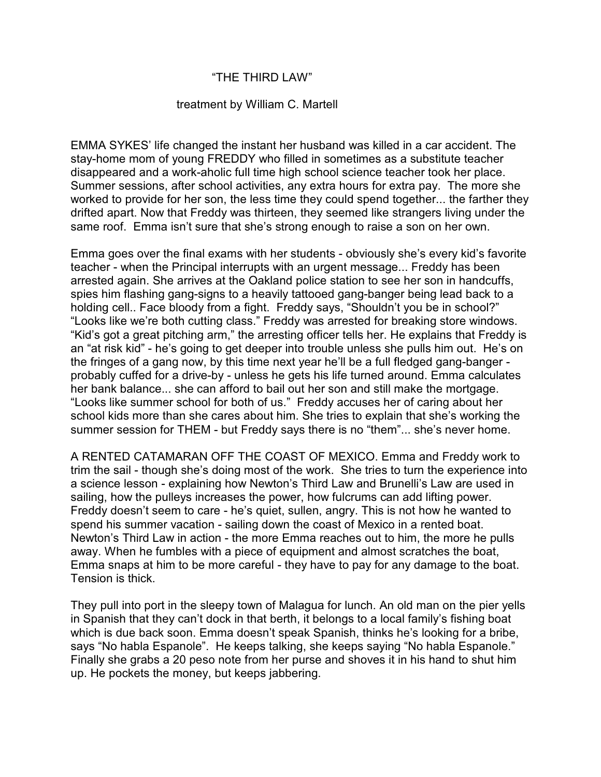## "THE THIRD LAW"

## treatment by William C. Martell

EMMA SYKES' life changed the instant her husband was killed in a car accident. The stay-home mom of young FREDDY who filled in sometimes as a substitute teacher disappeared and a work-aholic full time high school science teacher took her place. Summer sessions, after school activities, any extra hours for extra pay. The more she worked to provide for her son, the less time they could spend together... the farther they drifted apart. Now that Freddy was thirteen, they seemed like strangers living under the same roof. Emma isn't sure that she's strong enough to raise a son on her own.

Emma goes over the final exams with her students - obviously she's every kid's favorite teacher - when the Principal interrupts with an urgent message... Freddy has been arrested again. She arrives at the Oakland police station to see her son in handcuffs, spies him flashing gang-signs to a heavily tattooed gang-banger being lead back to a holding cell.. Face bloody from a fight. Freddy says, "Shouldn't you be in school?" "Looks like we're both cutting class." Freddy was arrested for breaking store windows. "Kid's got a great pitching arm," the arresting officer tells her. He explains that Freddy is an "at risk kid" - he's going to get deeper into trouble unless she pulls him out. He's on the fringes of a gang now, by this time next year he'll be a full fledged gang-banger probably cuffed for a drive-by - unless he gets his life turned around. Emma calculates her bank balance... she can afford to bail out her son and still make the mortgage. "Looks like summer school for both of us." Freddy accuses her of caring about her school kids more than she cares about him. She tries to explain that she's working the summer session for THEM - but Freddy says there is no "them"... she's never home.

A RENTED CATAMARAN OFF THE COAST OF MEXICO. Emma and Freddy work to trim the sail - though she's doing most of the work. She tries to turn the experience into a science lesson - explaining how Newton's Third Law and Brunelli's Law are used in sailing, how the pulleys increases the power, how fulcrums can add lifting power. Freddy doesn't seem to care - he's quiet, sullen, angry. This is not how he wanted to spend his summer vacation - sailing down the coast of Mexico in a rented boat. Newton's Third Law in action - the more Emma reaches out to him, the more he pulls away. When he fumbles with a piece of equipment and almost scratches the boat, Emma snaps at him to be more careful - they have to pay for any damage to the boat. Tension is thick.

They pull into port in the sleepy town of Malagua for lunch. An old man on the pier yells in Spanish that they can't dock in that berth, it belongs to a local family's fishing boat which is due back soon. Emma doesn't speak Spanish, thinks he's looking for a bribe, says "No habla Espanole". He keeps talking, she keeps saying "No habla Espanole." Finally she grabs a 20 peso note from her purse and shoves it in his hand to shut him up. He pockets the money, but keeps jabbering.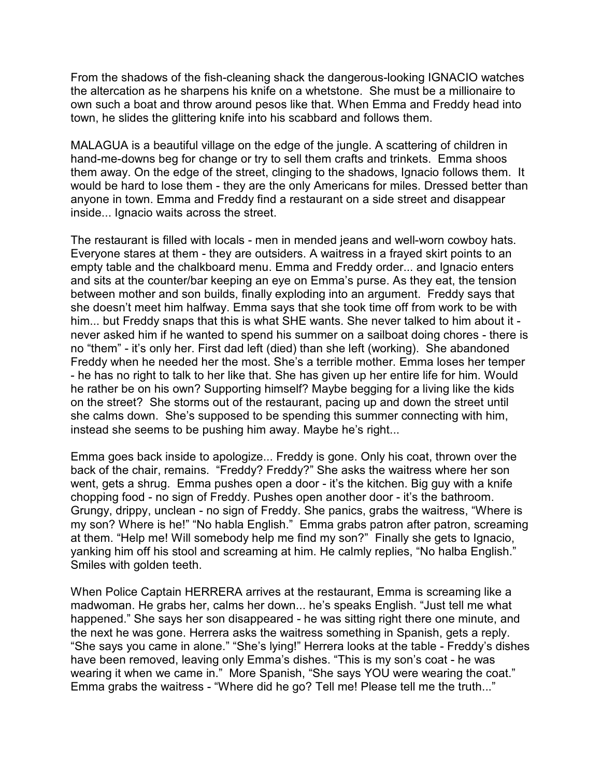From the shadows of the fish-cleaning shack the dangerous-looking IGNACIO watches the altercation as he sharpens his knife on a whetstone. She must be a millionaire to own such a boat and throw around pesos like that. When Emma and Freddy head into town, he slides the glittering knife into his scabbard and follows them.

MALAGUA is a beautiful village on the edge of the jungle. A scattering of children in hand-me-downs beg for change or try to sell them crafts and trinkets. Emma shoos them away. On the edge of the street, clinging to the shadows, Ignacio follows them. It would be hard to lose them - they are the only Americans for miles. Dressed better than anyone in town. Emma and Freddy find a restaurant on a side street and disappear inside... Ignacio waits across the street.

The restaurant is filled with locals - men in mended jeans and well-worn cowboy hats. Everyone stares at them - they are outsiders. A waitress in a frayed skirt points to an empty table and the chalkboard menu. Emma and Freddy order... and Ignacio enters and sits at the counter/bar keeping an eye on Emma's purse. As they eat, the tension between mother and son builds, finally exploding into an argument. Freddy says that she doesn't meet him halfway. Emma says that she took time off from work to be with him... but Freddy snaps that this is what SHE wants. She never talked to him about it never asked him if he wanted to spend his summer on a sailboat doing chores - there is no "them" - it's only her. First dad left (died) than she left (working). She abandoned Freddy when he needed her the most. She's a terrible mother. Emma loses her temper - he has no right to talk to her like that. She has given up her entire life for him. Would he rather be on his own? Supporting himself? Maybe begging for a living like the kids on the street? She storms out of the restaurant, pacing up and down the street until she calms down. She's supposed to be spending this summer connecting with him, instead she seems to be pushing him away. Maybe he's right...

Emma goes back inside to apologize... Freddy is gone. Only his coat, thrown over the back of the chair, remains. "Freddy? Freddy?" She asks the waitress where her son went, gets a shrug. Emma pushes open a door - it's the kitchen. Big guy with a knife chopping food - no sign of Freddy. Pushes open another door - it's the bathroom. Grungy, drippy, unclean - no sign of Freddy. She panics, grabs the waitress, "Where is my son? Where is he!" "No habla English." Emma grabs patron after patron, screaming at them. "Help me! Will somebody help me find my son?" Finally she gets to Ignacio, yanking him off his stool and screaming at him. He calmly replies, "No halba English." Smiles with golden teeth.

When Police Captain HERRERA arrives at the restaurant, Emma is screaming like a madwoman. He grabs her, calms her down... he's speaks English. "Just tell me what happened." She says her son disappeared - he was sitting right there one minute, and the next he was gone. Herrera asks the waitress something in Spanish, gets a reply. "She says you came in alone." "She's lying!" Herrera looks at the table - Freddy's dishes have been removed, leaving only Emma's dishes. "This is my son's coat - he was wearing it when we came in." More Spanish, "She says YOU were wearing the coat." Emma grabs the waitress - "Where did he go? Tell me! Please tell me the truth..."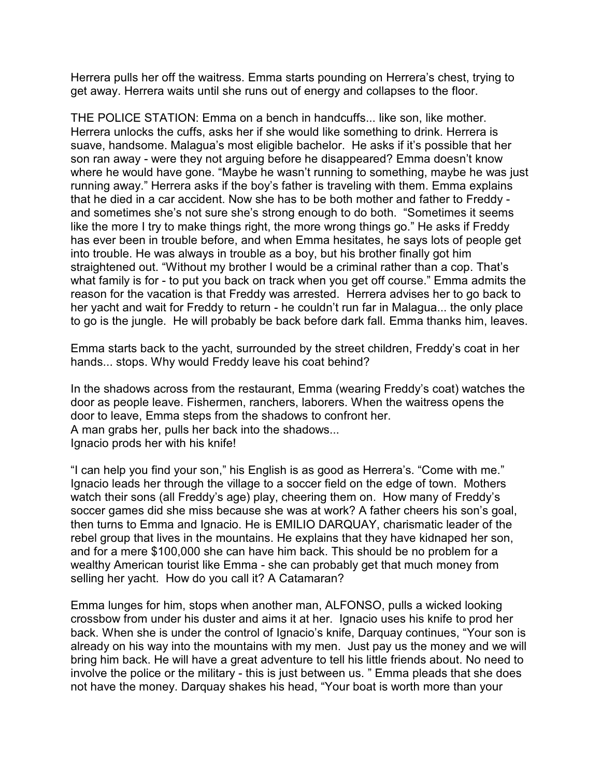Herrera pulls her off the waitress. Emma starts pounding on Herrera's chest, trying to get away. Herrera waits until she runs out of energy and collapses to the floor.

THE POLICE STATION: Emma on a bench in handcuffs... like son, like mother. Herrera unlocks the cuffs, asks her if she would like something to drink. Herrera is suave, handsome. Malagua's most eligible bachelor. He asks if it's possible that her son ran away - were they not arguing before he disappeared? Emma doesn't know where he would have gone. "Maybe he wasn't running to something, maybe he was just running away." Herrera asks if the boy's father is traveling with them. Emma explains that he died in a car accident. Now she has to be both mother and father to Freddy and sometimes she's not sure she's strong enough to do both. "Sometimes it seems like the more I try to make things right, the more wrong things go." He asks if Freddy has ever been in trouble before, and when Emma hesitates, he says lots of people get into trouble. He was always in trouble as a boy, but his brother finally got him straightened out. "Without my brother I would be a criminal rather than a cop. That's what family is for - to put you back on track when you get off course." Emma admits the reason for the vacation is that Freddy was arrested. Herrera advises her to go back to her yacht and wait for Freddy to return - he couldn't run far in Malagua... the only place to go is the jungle. He will probably be back before dark fall. Emma thanks him, leaves.

Emma starts back to the yacht, surrounded by the street children, Freddy's coat in her hands... stops. Why would Freddy leave his coat behind?

In the shadows across from the restaurant, Emma (wearing Freddy's coat) watches the door as people leave. Fishermen, ranchers, laborers. When the waitress opens the door to leave, Emma steps from the shadows to confront her. A man grabs her, pulls her back into the shadows... Ignacio prods her with his knife!

"I can help you find your son," his English is as good as Herrera's. "Come with me." Ignacio leads her through the village to a soccer field on the edge of town. Mothers watch their sons (all Freddy's age) play, cheering them on. How many of Freddy's soccer games did she miss because she was at work? A father cheers his son's goal, then turns to Emma and Ignacio. He is EMILIO DARQUAY, charismatic leader of the rebel group that lives in the mountains. He explains that they have kidnaped her son, and for a mere \$100,000 she can have him back. This should be no problem for a wealthy American tourist like Emma - she can probably get that much money from selling her yacht. How do you call it? A Catamaran?

Emma lunges for him, stops when another man, ALFONSO, pulls a wicked looking crossbow from under his duster and aims it at her. Ignacio uses his knife to prod her back. When she is under the control of Ignacio's knife, Darquay continues, "Your son is already on his way into the mountains with my men. Just pay us the money and we will bring him back. He will have a great adventure to tell his little friends about. No need to involve the police or the military - this is just between us. " Emma pleads that she does not have the money. Darquay shakes his head, "Your boat is worth more than your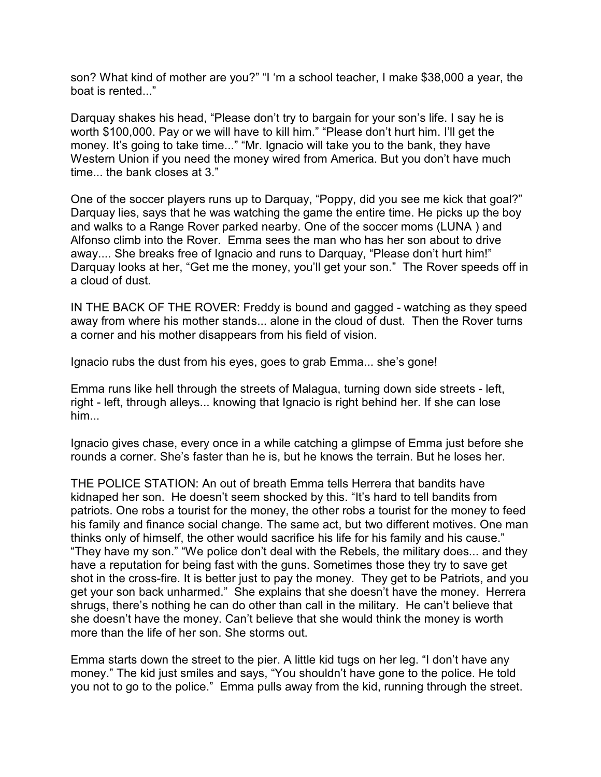son? What kind of mother are you?" "I 'm a school teacher, I make \$38,000 a year, the boat is rented..."

Darquay shakes his head, "Please don't try to bargain for your son's life. I say he is worth \$100,000. Pay or we will have to kill him." "Please don't hurt him. I'll get the money. It's going to take time..." "Mr. Ignacio will take you to the bank, they have Western Union if you need the money wired from America. But you don't have much time... the bank closes at 3."

One of the soccer players runs up to Darquay, "Poppy, did you see me kick that goal?" Darquay lies, says that he was watching the game the entire time. He picks up the boy and walks to a Range Rover parked nearby. One of the soccer moms (LUNA ) and Alfonso climb into the Rover. Emma sees the man who has her son about to drive away.... She breaks free of Ignacio and runs to Darquay, "Please don't hurt him!" Darquay looks at her, "Get me the money, you'll get your son." The Rover speeds off in a cloud of dust.

IN THE BACK OF THE ROVER: Freddy is bound and gagged - watching as they speed away from where his mother stands... alone in the cloud of dust. Then the Rover turns a corner and his mother disappears from his field of vision.

Ignacio rubs the dust from his eyes, goes to grab Emma... she's gone!

Emma runs like hell through the streets of Malagua, turning down side streets - left, right - left, through alleys... knowing that Ignacio is right behind her. If she can lose him...

Ignacio gives chase, every once in a while catching a glimpse of Emma just before she rounds a corner. She's faster than he is, but he knows the terrain. But he loses her.

THE POLICE STATION: An out of breath Emma tells Herrera that bandits have kidnaped her son. He doesn't seem shocked by this. "It's hard to tell bandits from patriots. One robs a tourist for the money, the other robs a tourist for the money to feed his family and finance social change. The same act, but two different motives. One man thinks only of himself, the other would sacrifice his life for his family and his cause." "They have my son." "We police don't deal with the Rebels, the military does... and they have a reputation for being fast with the guns. Sometimes those they try to save get shot in the cross-fire. It is better just to pay the money. They get to be Patriots, and you get your son back unharmed." She explains that she doesn't have the money. Herrera shrugs, there's nothing he can do other than call in the military. He can't believe that she doesn't have the money. Can't believe that she would think the money is worth more than the life of her son. She storms out.

Emma starts down the street to the pier. A little kid tugs on her leg. "I don't have any money." The kid just smiles and says, "You shouldn't have gone to the police. He told you not to go to the police." Emma pulls away from the kid, running through the street.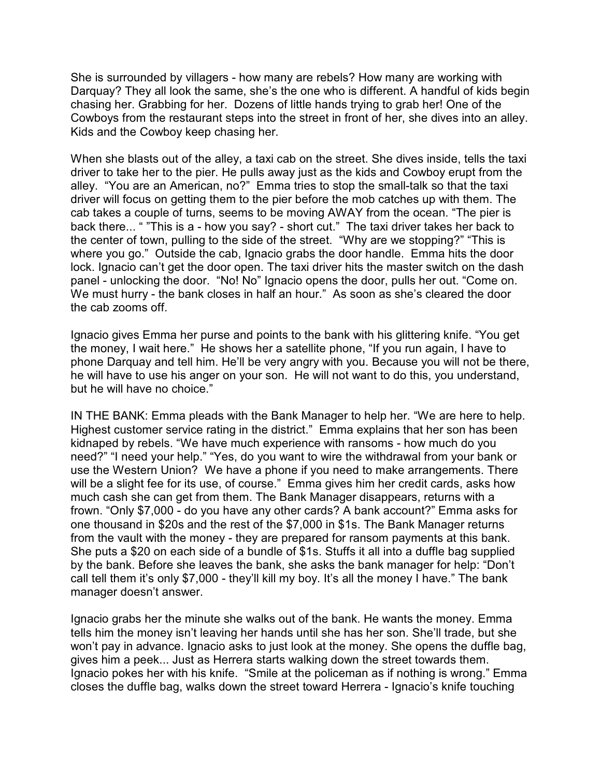She is surrounded by villagers - how many are rebels? How many are working with Darquay? They all look the same, she's the one who is different. A handful of kids begin chasing her. Grabbing for her. Dozens of little hands trying to grab her! One of the Cowboys from the restaurant steps into the street in front of her, she dives into an alley. Kids and the Cowboy keep chasing her.

When she blasts out of the alley, a taxi cab on the street. She dives inside, tells the taxi driver to take her to the pier. He pulls away just as the kids and Cowboy erupt from the alley. "You are an American, no?" Emma tries to stop the small-talk so that the taxi driver will focus on getting them to the pier before the mob catches up with them. The cab takes a couple of turns, seems to be moving AWAY from the ocean. "The pier is back there... " "This is a - how you say? - short cut." The taxi driver takes her back to the center of town, pulling to the side of the street. "Why are we stopping?" "This is where you go." Outside the cab, Ignacio grabs the door handle. Emma hits the door lock. Ignacio can't get the door open. The taxi driver hits the master switch on the dash panel - unlocking the door. "No! No" Ignacio opens the door, pulls her out. "Come on. We must hurry - the bank closes in half an hour." As soon as she's cleared the door the cab zooms off.

Ignacio gives Emma her purse and points to the bank with his glittering knife. "You get the money, I wait here." He shows her a satellite phone, "If you run again, I have to phone Darquay and tell him. He'll be very angry with you. Because you will not be there, he will have to use his anger on your son. He will not want to do this, you understand, but he will have no choice."

IN THE BANK: Emma pleads with the Bank Manager to help her. "We are here to help. Highest customer service rating in the district." Emma explains that her son has been kidnaped by rebels. "We have much experience with ransoms - how much do you need?" "I need your help." "Yes, do you want to wire the withdrawal from your bank or use the Western Union? We have a phone if you need to make arrangements. There will be a slight fee for its use, of course." Emma gives him her credit cards, asks how much cash she can get from them. The Bank Manager disappears, returns with a frown. "Only \$7,000 - do you have any other cards? A bank account?" Emma asks for one thousand in \$20s and the rest of the \$7,000 in \$1s. The Bank Manager returns from the vault with the money - they are prepared for ransom payments at this bank. She puts a \$20 on each side of a bundle of \$1s. Stuffs it all into a duffle bag supplied by the bank. Before she leaves the bank, she asks the bank manager for help: "Don't call tell them it's only \$7,000 - they'll kill my boy. It's all the money I have." The bank manager doesn't answer.

Ignacio grabs her the minute she walks out of the bank. He wants the money. Emma tells him the money isn't leaving her hands until she has her son. She'll trade, but she won't pay in advance. Ignacio asks to just look at the money. She opens the duffle bag, gives him a peek... Just as Herrera starts walking down the street towards them. Ignacio pokes her with his knife. "Smile at the policeman as if nothing is wrong." Emma closes the duffle bag, walks down the street toward Herrera - Ignacio's knife touching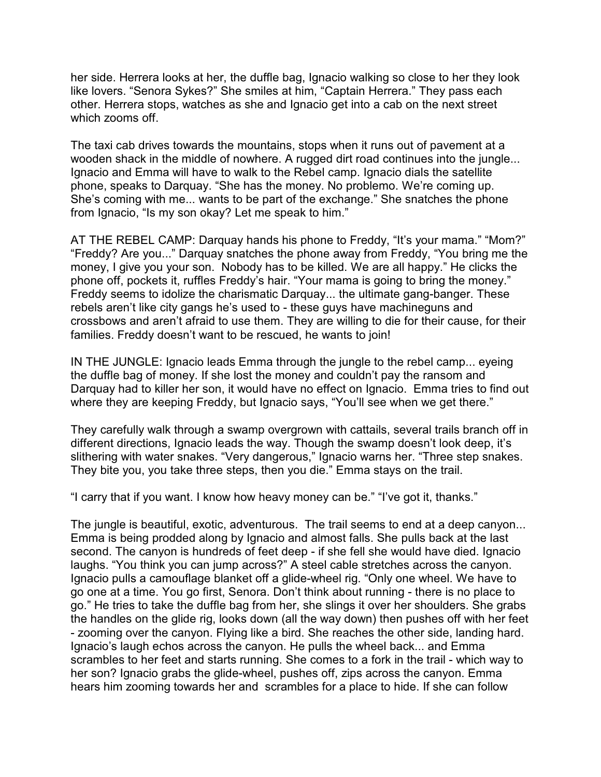her side. Herrera looks at her, the duffle bag, Ignacio walking so close to her they look like lovers. "Senora Sykes?" She smiles at him, "Captain Herrera." They pass each other. Herrera stops, watches as she and Ignacio get into a cab on the next street which zooms off.

The taxi cab drives towards the mountains, stops when it runs out of pavement at a wooden shack in the middle of nowhere. A rugged dirt road continues into the jungle... Ignacio and Emma will have to walk to the Rebel camp. Ignacio dials the satellite phone, speaks to Darquay. "She has the money. No problemo. We're coming up. She's coming with me... wants to be part of the exchange." She snatches the phone from Ignacio, "Is my son okay? Let me speak to him."

AT THE REBEL CAMP: Darquay hands his phone to Freddy, "It's your mama." "Mom?" "Freddy? Are you..." Darquay snatches the phone away from Freddy, "You bring me the money, I give you your son. Nobody has to be killed. We are all happy." He clicks the phone off, pockets it, ruffles Freddy's hair. "Your mama is going to bring the money." Freddy seems to idolize the charismatic Darquay... the ultimate gang-banger. These rebels aren't like city gangs he's used to - these guys have machineguns and crossbows and aren't afraid to use them. They are willing to die for their cause, for their families. Freddy doesn't want to be rescued, he wants to join!

IN THE JUNGLE: Ignacio leads Emma through the jungle to the rebel camp... eyeing the duffle bag of money. If she lost the money and couldn't pay the ransom and Darquay had to killer her son, it would have no effect on Ignacio. Emma tries to find out where they are keeping Freddy, but Ignacio says, "You'll see when we get there."

They carefully walk through a swamp overgrown with cattails, several trails branch off in different directions, Ignacio leads the way. Though the swamp doesn't look deep, it's slithering with water snakes. "Very dangerous," Ignacio warns her. "Three step snakes. They bite you, you take three steps, then you die." Emma stays on the trail.

"I carry that if you want. I know how heavy money can be." "I've got it, thanks."

The jungle is beautiful, exotic, adventurous. The trail seems to end at a deep canyon... Emma is being prodded along by Ignacio and almost falls. She pulls back at the last second. The canyon is hundreds of feet deep - if she fell she would have died. Ignacio laughs. "You think you can jump across?" A steel cable stretches across the canyon. Ignacio pulls a camouflage blanket off a glide-wheel rig. "Only one wheel. We have to go one at a time. You go first, Senora. Don't think about running - there is no place to go." He tries to take the duffle bag from her, she slings it over her shoulders. She grabs the handles on the glide rig, looks down (all the way down) then pushes off with her feet - zooming over the canyon. Flying like a bird. She reaches the other side, landing hard. Ignacio's laugh echos across the canyon. He pulls the wheel back... and Emma scrambles to her feet and starts running. She comes to a fork in the trail - which way to her son? Ignacio grabs the glide-wheel, pushes off, zips across the canyon. Emma hears him zooming towards her and scrambles for a place to hide. If she can follow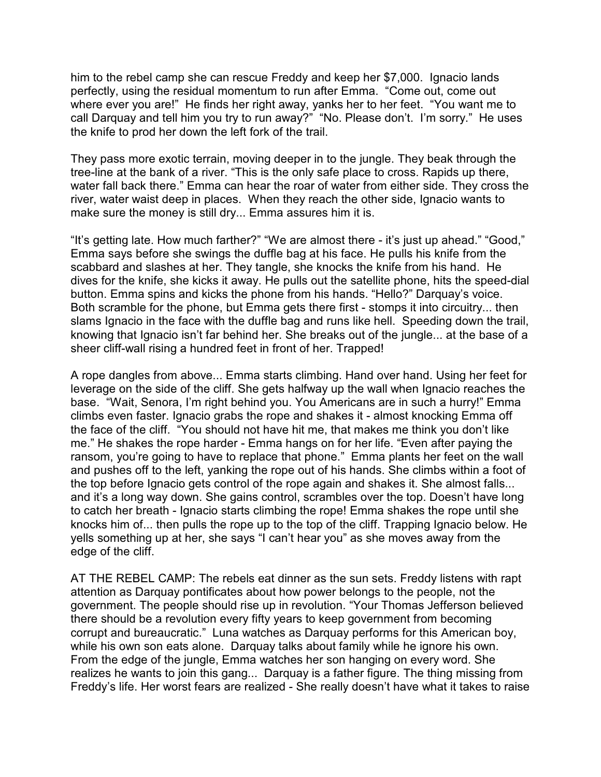him to the rebel camp she can rescue Freddy and keep her \$7,000. Ignacio lands perfectly, using the residual momentum to run after Emma. "Come out, come out where ever you are!" He finds her right away, yanks her to her feet. "You want me to call Darquay and tell him you try to run away?" "No. Please don't. I'm sorry." He uses the knife to prod her down the left fork of the trail.

They pass more exotic terrain, moving deeper in to the jungle. They beak through the tree-line at the bank of a river. "This is the only safe place to cross. Rapids up there, water fall back there." Emma can hear the roar of water from either side. They cross the river, water waist deep in places. When they reach the other side, Ignacio wants to make sure the money is still dry... Emma assures him it is.

"It's getting late. How much farther?" "We are almost there - it's just up ahead." "Good," Emma says before she swings the duffle bag at his face. He pulls his knife from the scabbard and slashes at her. They tangle, she knocks the knife from his hand. He dives for the knife, she kicks it away. He pulls out the satellite phone, hits the speed-dial button. Emma spins and kicks the phone from his hands. "Hello?" Darquay's voice. Both scramble for the phone, but Emma gets there first - stomps it into circuitry... then slams Ignacio in the face with the duffle bag and runs like hell. Speeding down the trail, knowing that Ignacio isn't far behind her. She breaks out of the jungle... at the base of a sheer cliff-wall rising a hundred feet in front of her. Trapped!

A rope dangles from above... Emma starts climbing. Hand over hand. Using her feet for leverage on the side of the cliff. She gets halfway up the wall when Ignacio reaches the base. "Wait, Senora, I'm right behind you. You Americans are in such a hurry!" Emma climbs even faster. Ignacio grabs the rope and shakes it - almost knocking Emma off the face of the cliff. "You should not have hit me, that makes me think you don't like me." He shakes the rope harder - Emma hangs on for her life. "Even after paying the ransom, you're going to have to replace that phone." Emma plants her feet on the wall and pushes off to the left, yanking the rope out of his hands. She climbs within a foot of the top before Ignacio gets control of the rope again and shakes it. She almost falls... and it's a long way down. She gains control, scrambles over the top. Doesn't have long to catch her breath - Ignacio starts climbing the rope! Emma shakes the rope until she knocks him of... then pulls the rope up to the top of the cliff. Trapping Ignacio below. He yells something up at her, she says "I can't hear you" as she moves away from the edge of the cliff.

AT THE REBEL CAMP: The rebels eat dinner as the sun sets. Freddy listens with rapt attention as Darquay pontificates about how power belongs to the people, not the government. The people should rise up in revolution. "Your Thomas Jefferson believed there should be a revolution every fifty years to keep government from becoming corrupt and bureaucratic." Luna watches as Darquay performs for this American boy, while his own son eats alone. Darquay talks about family while he ignore his own. From the edge of the jungle, Emma watches her son hanging on every word. She realizes he wants to join this gang... Darquay is a father figure. The thing missing from Freddy's life. Her worst fears are realized - She really doesn't have what it takes to raise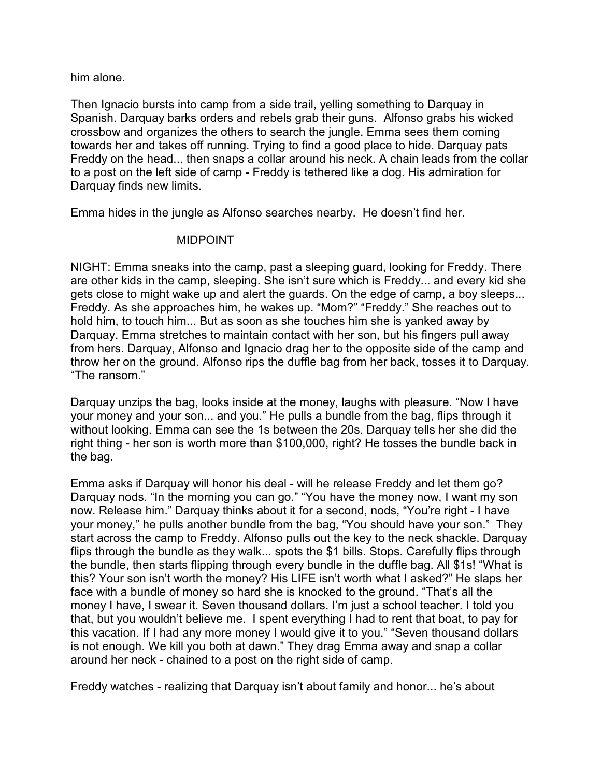him alone.

Then Ignacio bursts into camp from a side trail, yelling something to Darquay in Spanish. Darquay barks orders and rebels grab their guns. Alfonso grabs his wicked crossbow and organizes the others to search the jungle. Emma sees them coming towards her and takes off running. Trying to find a good place to hide. Darquay pats Freddy on the head... then snaps a collar around his neck. A chain leads from the collar to a post on the left side of camp - Freddy is tethered like a dog. His admiration for Darquay finds new limits.

Emma hides in the jungle as Alfonso searches nearby. He doesn't find her.

## MIDPOINT

NIGHT: Emma sneaks into the camp, past a sleeping guard, looking for Freddy. There are other kids in the camp, sleeping. She isn't sure which is Freddy... and every kid she gets close to might wake up and alert the guards. On the edge of camp, a boy sleeps... Freddy. As she approaches him, he wakes up. "Mom?" "Freddy." She reaches out to hold him, to touch him... But as soon as she touches him she is yanked away by Darquay. Emma stretches to maintain contact with her son, but his fingers pull away from hers. Darquay, Alfonso and Ignacio drag her to the opposite side of the camp and throw her on the ground. Alfonso rips the duffle bag from her back, tosses it to Darquay. "The ransom."

Darquay unzips the bag, looks inside at the money, laughs with pleasure. "Now I have your money and your son... and you." He pulls a bundle from the bag, flips through it without looking. Emma can see the 1s between the 20s. Darquay tells her she did the right thing - her son is worth more than \$100,000, right? He tosses the bundle back in the bag.

Emma asks if Darquay will honor his deal - will he release Freddy and let them go? Darquay nods. "In the morning you can go." "You have the money now, I want my son now. Release him." Darquay thinks about it for a second, nods, "You're right - I have your money," he pulls another bundle from the bag, "You should have your son." They start across the camp to Freddy. Alfonso pulls out the key to the neck shackle. Darquay flips through the bundle as they walk... spots the \$1 bills. Stops. Carefully flips through the bundle, then starts flipping through every bundle in the duffle bag. All \$1s! "What is this? Your son isn't worth the money? His LIFE isn't worth what I asked?" He slaps her face with a bundle of money so hard she is knocked to the ground. "That's all the money I have, I swear it. Seven thousand dollars. I'm just a school teacher. I told you that, but you wouldn't believe me. I spent everything I had to rent that boat, to pay for this vacation. If I had any more money I would give it to you." "Seven thousand dollars is not enough. We kill you both at dawn." They drag Emma away and snap a collar around her neck - chained to a post on the right side of camp.

Freddy watches - realizing that Darquay isn't about family and honor... he's about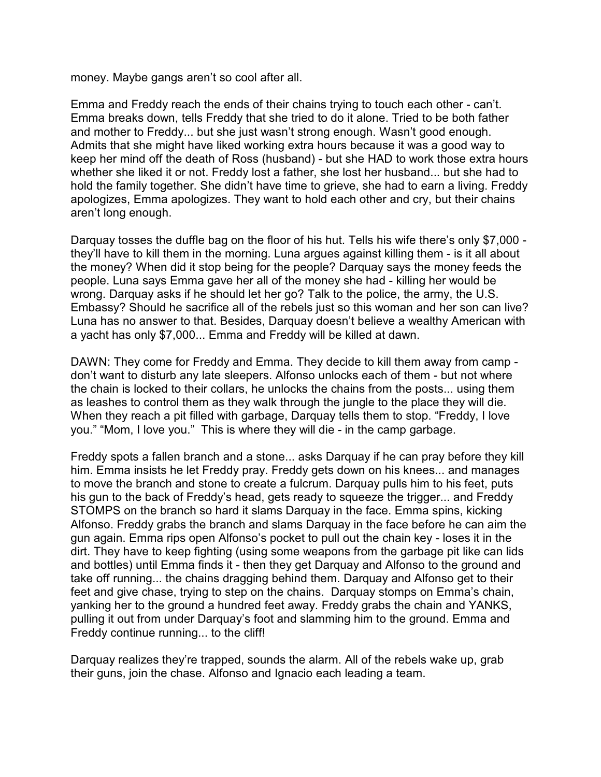money. Maybe gangs aren't so cool after all.

Emma and Freddy reach the ends of their chains trying to touch each other - can't. Emma breaks down, tells Freddy that she tried to do it alone. Tried to be both father and mother to Freddy... but she just wasn't strong enough. Wasn't good enough. Admits that she might have liked working extra hours because it was a good way to keep her mind off the death of Ross (husband) - but she HAD to work those extra hours whether she liked it or not. Freddy lost a father, she lost her husband... but she had to hold the family together. She didn't have time to grieve, she had to earn a living. Freddy apologizes, Emma apologizes. They want to hold each other and cry, but their chains aren't long enough.

Darquay tosses the duffle bag on the floor of his hut. Tells his wife there's only \$7,000 they'll have to kill them in the morning. Luna argues against killing them - is it all about the money? When did it stop being for the people? Darquay says the money feeds the people. Luna says Emma gave her all of the money she had - killing her would be wrong. Darquay asks if he should let her go? Talk to the police, the army, the U.S. Embassy? Should he sacrifice all of the rebels just so this woman and her son can live? Luna has no answer to that. Besides, Darquay doesn't believe a wealthy American with a yacht has only \$7,000... Emma and Freddy will be killed at dawn.

DAWN: They come for Freddy and Emma. They decide to kill them away from camp don't want to disturb any late sleepers. Alfonso unlocks each of them - but not where the chain is locked to their collars, he unlocks the chains from the posts... using them as leashes to control them as they walk through the jungle to the place they will die. When they reach a pit filled with garbage, Darquay tells them to stop. "Freddy, I love you." "Mom, I love you." This is where they will die - in the camp garbage.

Freddy spots a fallen branch and a stone... asks Darquay if he can pray before they kill him. Emma insists he let Freddy pray. Freddy gets down on his knees... and manages to move the branch and stone to create a fulcrum. Darquay pulls him to his feet, puts his gun to the back of Freddy's head, gets ready to squeeze the trigger... and Freddy STOMPS on the branch so hard it slams Darquay in the face. Emma spins, kicking Alfonso. Freddy grabs the branch and slams Darquay in the face before he can aim the gun again. Emma rips open Alfonso's pocket to pull out the chain key - loses it in the dirt. They have to keep fighting (using some weapons from the garbage pit like can lids and bottles) until Emma finds it - then they get Darquay and Alfonso to the ground and take off running... the chains dragging behind them. Darquay and Alfonso get to their feet and give chase, trying to step on the chains. Darquay stomps on Emma's chain, yanking her to the ground a hundred feet away. Freddy grabs the chain and YANKS, pulling it out from under Darquay's foot and slamming him to the ground. Emma and Freddy continue running... to the cliff!

Darquay realizes they're trapped, sounds the alarm. All of the rebels wake up, grab their guns, join the chase. Alfonso and Ignacio each leading a team.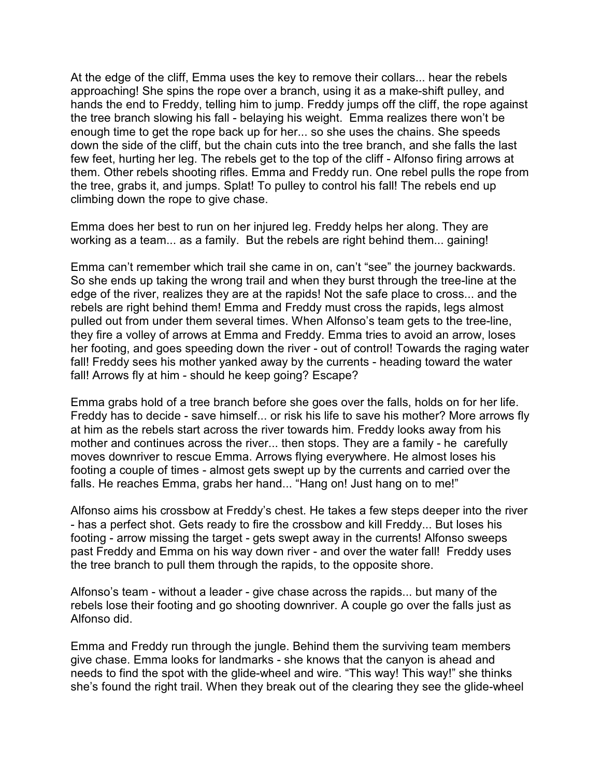At the edge of the cliff, Emma uses the key to remove their collars... hear the rebels approaching! She spins the rope over a branch, using it as a make-shift pulley, and hands the end to Freddy, telling him to jump. Freddy jumps off the cliff, the rope against the tree branch slowing his fall - belaying his weight. Emma realizes there won't be enough time to get the rope back up for her... so she uses the chains. She speeds down the side of the cliff, but the chain cuts into the tree branch, and she falls the last few feet, hurting her leg. The rebels get to the top of the cliff - Alfonso firing arrows at them. Other rebels shooting rifles. Emma and Freddy run. One rebel pulls the rope from the tree, grabs it, and jumps. Splat! To pulley to control his fall! The rebels end up climbing down the rope to give chase.

Emma does her best to run on her injured leg. Freddy helps her along. They are working as a team... as a family. But the rebels are right behind them... gaining!

Emma can't remember which trail she came in on, can't "see" the journey backwards. So she ends up taking the wrong trail and when they burst through the tree-line at the edge of the river, realizes they are at the rapids! Not the safe place to cross... and the rebels are right behind them! Emma and Freddy must cross the rapids, legs almost pulled out from under them several times. When Alfonso's team gets to the tree-line, they fire a volley of arrows at Emma and Freddy. Emma tries to avoid an arrow, loses her footing, and goes speeding down the river - out of control! Towards the raging water fall! Freddy sees his mother yanked away by the currents - heading toward the water fall! Arrows fly at him - should he keep going? Escape?

Emma grabs hold of a tree branch before she goes over the falls, holds on for her life. Freddy has to decide - save himself... or risk his life to save his mother? More arrows fly at him as the rebels start across the river towards him. Freddy looks away from his mother and continues across the river... then stops. They are a family - he carefully moves downriver to rescue Emma. Arrows flying everywhere. He almost loses his footing a couple of times - almost gets swept up by the currents and carried over the falls. He reaches Emma, grabs her hand... "Hang on! Just hang on to me!"

Alfonso aims his crossbow at Freddy's chest. He takes a few steps deeper into the river - has a perfect shot. Gets ready to fire the crossbow and kill Freddy... But loses his footing - arrow missing the target - gets swept away in the currents! Alfonso sweeps past Freddy and Emma on his way down river - and over the water fall! Freddy uses the tree branch to pull them through the rapids, to the opposite shore.

Alfonso's team - without a leader - give chase across the rapids... but many of the rebels lose their footing and go shooting downriver. A couple go over the falls just as Alfonso did.

Emma and Freddy run through the jungle. Behind them the surviving team members give chase. Emma looks for landmarks - she knows that the canyon is ahead and needs to find the spot with the glide-wheel and wire. "This way! This way!" she thinks she's found the right trail. When they break out of the clearing they see the glide-wheel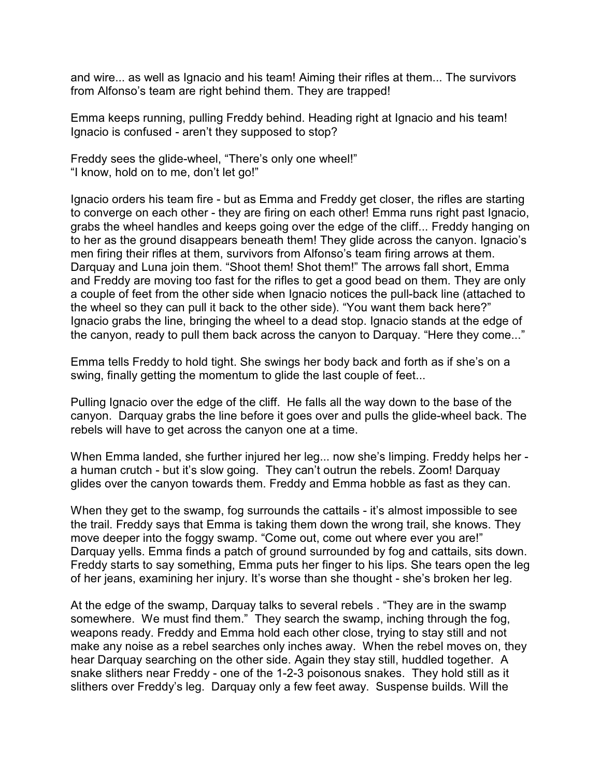and wire... as well as Ignacio and his team! Aiming their rifles at them... The survivors from Alfonso's team are right behind them. They are trapped!

Emma keeps running, pulling Freddy behind. Heading right at Ignacio and his team! Ignacio is confused - aren't they supposed to stop?

Freddy sees the glide-wheel, "There's only one wheel!" "I know, hold on to me, don't let go!"

Ignacio orders his team fire - but as Emma and Freddy get closer, the rifles are starting to converge on each other - they are firing on each other! Emma runs right past Ignacio, grabs the wheel handles and keeps going over the edge of the cliff... Freddy hanging on to her as the ground disappears beneath them! They glide across the canyon. Ignacio's men firing their rifles at them, survivors from Alfonso's team firing arrows at them. Darquay and Luna join them. "Shoot them! Shot them!" The arrows fall short, Emma and Freddy are moving too fast for the rifles to get a good bead on them. They are only a couple of feet from the other side when Ignacio notices the pull-back line (attached to the wheel so they can pull it back to the other side). "You want them back here?" Ignacio grabs the line, bringing the wheel to a dead stop. Ignacio stands at the edge of the canyon, ready to pull them back across the canyon to Darquay. "Here they come..."

Emma tells Freddy to hold tight. She swings her body back and forth as if she's on a swing, finally getting the momentum to glide the last couple of feet...

Pulling Ignacio over the edge of the cliff. He falls all the way down to the base of the canyon. Darquay grabs the line before it goes over and pulls the glide-wheel back. The rebels will have to get across the canyon one at a time.

When Emma landed, she further injured her leg... now she's limping. Freddy helps her a human crutch - but it's slow going. They can't outrun the rebels. Zoom! Darquay glides over the canyon towards them. Freddy and Emma hobble as fast as they can.

When they get to the swamp, fog surrounds the cattails - it's almost impossible to see the trail. Freddy says that Emma is taking them down the wrong trail, she knows. They move deeper into the foggy swamp. "Come out, come out where ever you are!" Darquay vells. Emma finds a patch of ground surrounded by fog and cattails, sits down. Freddy starts to say something, Emma puts her finger to his lips. She tears open the leg of her jeans, examining her injury. It's worse than she thought - she's broken her leg.

At the edge of the swamp, Darquay talks to several rebels . "They are in the swamp somewhere. We must find them." They search the swamp, inching through the fog, weapons ready. Freddy and Emma hold each other close, trying to stay still and not make any noise as a rebel searches only inches away. When the rebel moves on, they hear Darquay searching on the other side. Again they stay still, huddled together. A snake slithers near Freddy - one of the 1-2-3 poisonous snakes. They hold still as it slithers over Freddy's leg. Darquay only a few feet away. Suspense builds. Will the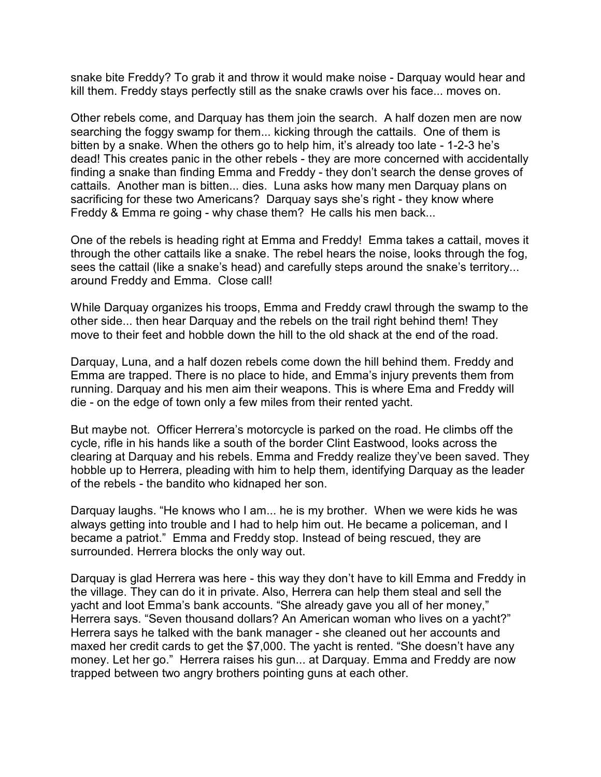snake bite Freddy? To grab it and throw it would make noise - Darquay would hear and kill them. Freddy stays perfectly still as the snake crawls over his face... moves on.

Other rebels come, and Darquay has them join the search. A half dozen men are now searching the foggy swamp for them... kicking through the cattails. One of them is bitten by a snake. When the others go to help him, it's already too late - 1-2-3 he's dead! This creates panic in the other rebels - they are more concerned with accidentally finding a snake than finding Emma and Freddy - they don't search the dense groves of cattails. Another man is bitten... dies. Luna asks how many men Darquay plans on sacrificing for these two Americans? Darquay says she's right - they know where Freddy & Emma re going - why chase them? He calls his men back...

One of the rebels is heading right at Emma and Freddy! Emma takes a cattail, moves it through the other cattails like a snake. The rebel hears the noise, looks through the fog, sees the cattail (like a snake's head) and carefully steps around the snake's territory... around Freddy and Emma. Close call!

While Darquay organizes his troops, Emma and Freddy crawl through the swamp to the other side... then hear Darquay and the rebels on the trail right behind them! They move to their feet and hobble down the hill to the old shack at the end of the road.

Darquay, Luna, and a half dozen rebels come down the hill behind them. Freddy and Emma are trapped. There is no place to hide, and Emma's injury prevents them from running. Darquay and his men aim their weapons. This is where Ema and Freddy will die - on the edge of town only a few miles from their rented yacht.

But maybe not. Officer Herrera's motorcycle is parked on the road. He climbs off the cycle, rifle in his hands like a south of the border Clint Eastwood, looks across the clearing at Darquay and his rebels. Emma and Freddy realize they've been saved. They hobble up to Herrera, pleading with him to help them, identifying Darquay as the leader of the rebels - the bandito who kidnaped her son.

Darquay laughs. "He knows who I am... he is my brother. When we were kids he was always getting into trouble and I had to help him out. He became a policeman, and I became a patriot." Emma and Freddy stop. Instead of being rescued, they are surrounded. Herrera blocks the only way out.

Darquay is glad Herrera was here - this way they don't have to kill Emma and Freddy in the village. They can do it in private. Also, Herrera can help them steal and sell the yacht and loot Emma's bank accounts. "She already gave you all of her money," Herrera says. "Seven thousand dollars? An American woman who lives on a yacht?" Herrera says he talked with the bank manager - she cleaned out her accounts and maxed her credit cards to get the \$7,000. The yacht is rented. "She doesn't have any money. Let her go." Herrera raises his gun... at Darquay. Emma and Freddy are now trapped between two angry brothers pointing guns at each other.